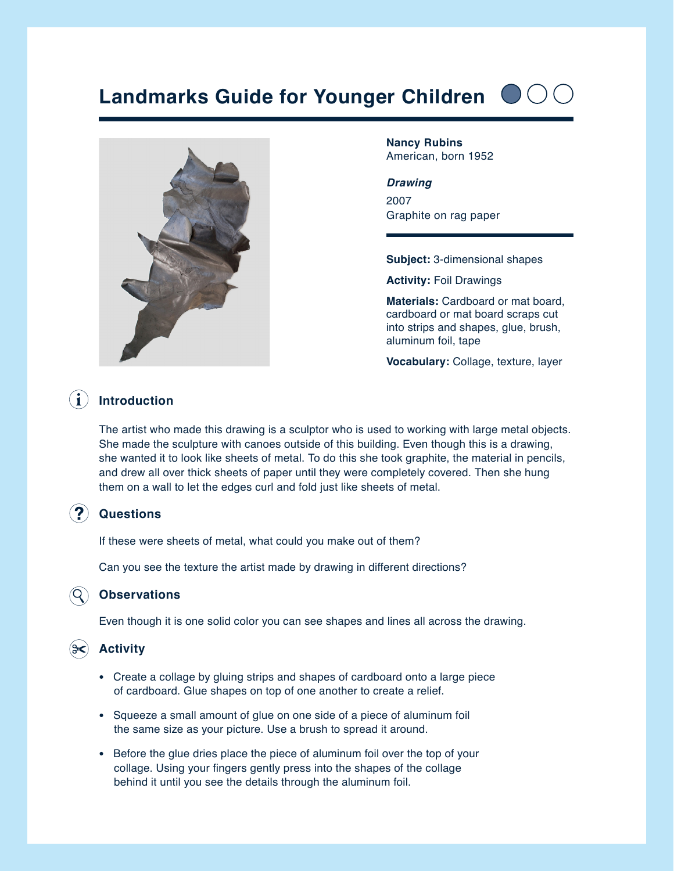# **Landmarks Guide for Younger Children**





**Nancy Rubins** American, born 1952

#### *Drawing*

2007 Graphite on rag paper

**Subject:** 3-dimensional shapes

**Activity:** Foil Drawings

**Materials:** Cardboard or mat board, cardboard or mat board scraps cut into strips and shapes, glue, brush, aluminum foil, tape

**Vocabulary:** Collage, texture, layer

## **Introduction**

The artist who made this drawing is a sculptor who is used to working with large metal objects. She made the sculpture with canoes outside of this building. Even though this is a drawing, she wanted it to look like sheets of metal. To do this she took graphite, the material in pencils, and drew all over thick sheets of paper until they were completely covered. Then she hung them on a wall to let the edges curl and fold just like sheets of metal.

#### **Questions**

If these were sheets of metal, what could you make out of them?

Can you see the texture the artist made by drawing in different directions?

#### **Observations**

Even though it is one solid color you can see shapes and lines all across the drawing.

#### **Activity**

- Create a collage by gluing strips and shapes of cardboard onto a large piece of cardboard. Glue shapes on top of one another to create a relief.
- Squeeze a small amount of glue on one side of a piece of aluminum foil the same size as your picture. Use a brush to spread it around.
- Before the glue dries place the piece of aluminum foil over the top of your collage. Using your fingers gently press into the shapes of the collage behind it until you see the details through the aluminum foil.